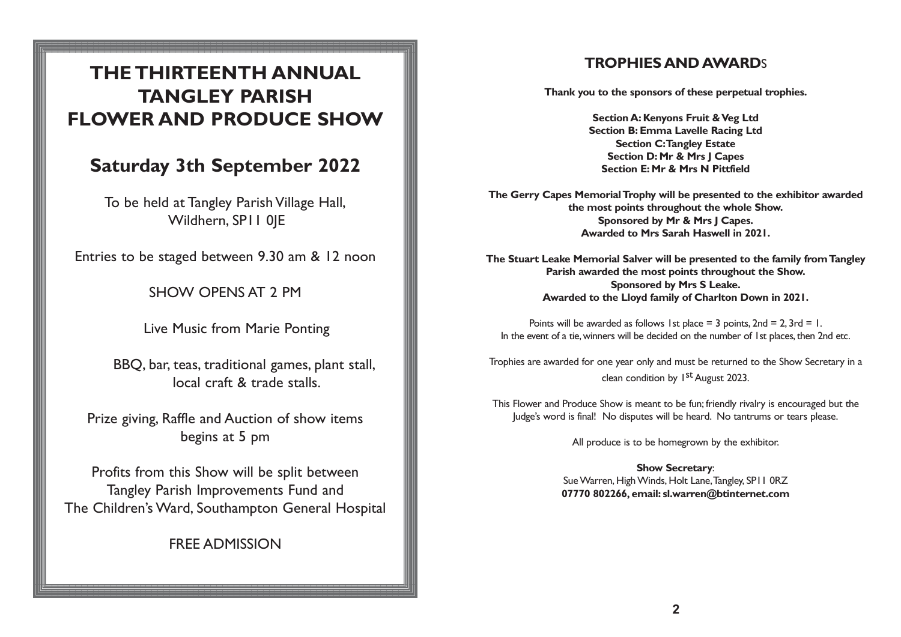# **THE THIRTEENTH ANNUAL TANGLEY PARISH FLOWER AND PRODUCE SHOW**

# **Saturday 3th September 2022**

To be held at Tangley Parish Village Hall, Wildhern, SP11 OIE

Entries to be staged between 9.30 am & 12 noon

SHOW OPENS AT 2 PM

Live Music from Marie Ponting

BBQ, bar, teas, traditional games, plant stall, local craft & trade stalls.

Prize giving, Raffle and Auction of show items begins at 5 pm

Profits from this Show will be split between Tangley Parish Improvements Fund and The Children's Ward, Southampton General Hospital

FREE ADMISSION

# **TROPHIES AND AWARD**S

**Thank you to the sponsors of these perpetual trophies.**

**Section A: Kenyons Fruit & Veg Ltd Section B: Emma Lavelle Racing Ltd Section C:Tangley Estate Section D: Mr & Mrs J Capes Section E: Mr & Mrs N Pittfield**

**The Gerry Capes Memorial Trophy will be presented to the exhibitor awarded the most points throughout the whole Show. Sponsored by Mr & Mrs J Capes. Awarded to Mrs Sarah Haswell in 2021.**

**The Stuart Leake Memorial Salver will be presented to the family from Tangley Parish awarded the most points throughout the Show. Sponsored by Mrs S Leake. Awarded to the Lloyd family of Charlton Down in 2021.**

Points will be awarded as follows 1st place  $=$  3 points, 2nd  $=$  2, 3rd  $=$  1. In the event of a tie, winners will be decided on the number of 1st places, then 2nd etc.

Trophies are awarded for one year only and must be returned to the Show Secretary in a clean condition by  $1<sup>st</sup>$  August 2023.

This Flower and Produce Show is meant to be fun; friendly rivalry is encouraged but the Judge's word is final! No disputes will be heard. No tantrums or tears please.

All produce is to be homegrown by the exhibitor.

**Show Secretary**: Sue Warren, High Winds, Holt Lane,Tangley, SP11 0RZ **07770 802266, email: sl.warren@btinternet.com**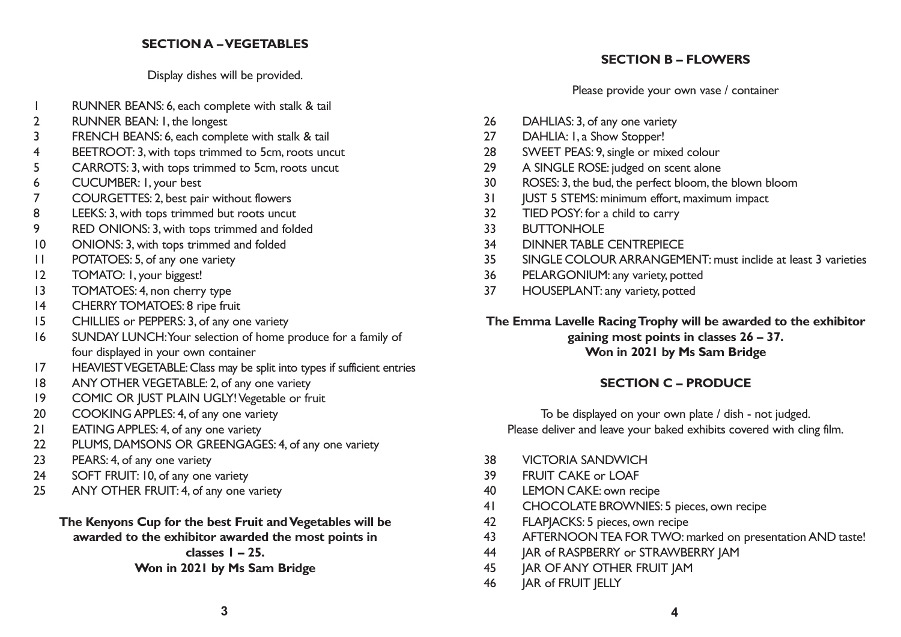#### **SECTION A – VEGETABLES**

Display dishes will be provided.

- RUNNER BEANS: 6, each complete with stalk & tail
- RUNNER BEAN: 1, the longest
- FRENCH BEANS: 6, each complete with stalk & tail
- BEETROOT: 3, with tops trimmed to 5cm, roots uncut
- CARROTS: 3, with tops trimmed to 5cm, roots uncut
- CUCUMBER: 1, your best
- COURGETTES: 2, best pair without flowers
- LEEKS: 3, with tops trimmed but roots uncut
- RED ONIONS: 3, with tops trimmed and folded
- ONIONS: 3, with tops trimmed and folded
- POTATOES: 5, of any one variety
- TOMATO: 1, your biggest!
- 13 TOMATOES: 4, non cherry type
- CHERRY TOMATOES: 8 ripe fruit
- CHILLIES or PEPPERS: 3, of any one variety
- SUNDAY LUNCH:Your selection of home produce for a family of four displayed in your own container
- HEAVIEST VEGETABLE:Class may be split into types if sufficient entries
- ANY OTHER VEGETABLE: 2, of any one variety
- COMIC OR JUST PLAIN UGLY! Vegetable or fruit
- COOKING APPLES: 4, of any one variety
- EATING APPLES: 4, of any one variety
- PLUMS, DAMSONS OR GREENGAGES: 4, of any one variety
- PEARS: 4, of any one variety
- 24 SOFT FRUIT: 10, of any one variety
- 25 ANY OTHER FRUIT: 4, of any one variety

#### **The Kenyons Cup for the best Fruit and Vegetables will be awarded to the exhibitor awarded the most points in**

**classes 1 – 25.**

#### **Won in 2021 by Ms Sam Bridge**

# **SECTION B – FLOWERS**

Please provide your own vase / container

- DAHLIAS: 3, of any one variety
- 27 DAHLIA: I, a Show Stopper!
- SWEET PEAS: 9, single or mixed colour
- A SINGLE ROSE: judged on scent alone
- ROSES: 3, the bud, the perfect bloom, the blown bloom
- **JUST 5 STEMS:** minimum effort, maximum impact
- TIED POSY: for a child to carry
- BUTTONHOLE
- DINNER TABLE CENTREPIECE
- SINGLE COLOUR ARRANGEMENT: must inclide at least 3 varieties
- PELARGONIUM: any variety, potted
- HOUSEPLANT: any variety, potted

## **The Emma Lavelle Racing Trophy will be awarded to the exhibitor gaining most points in classes 26 – 37. Won in 2021 by Ms Sam Bridge**

# **SECTION C – PRODUCE**

To be displayed on your own plate / dish - not judged. Please deliver and leave your baked exhibits covered with cling film.

- VICTORIA SANDWICH
- FRUIT CAKE or LOAF
- LEMON CAKE: own recipe
- CHOCOLATE BROWNIES: 5 pieces, own recipe
- FLAPJACKS: 5 pieces, own recipe
- AFTERNOON TEA FOR TWO: marked on presentation AND taste!
- JAR of RASPBERRY or STRAWBERRY JAM
- **JAR OF ANY OTHER FRUIT JAM**
- JAR of FRUIT JELLY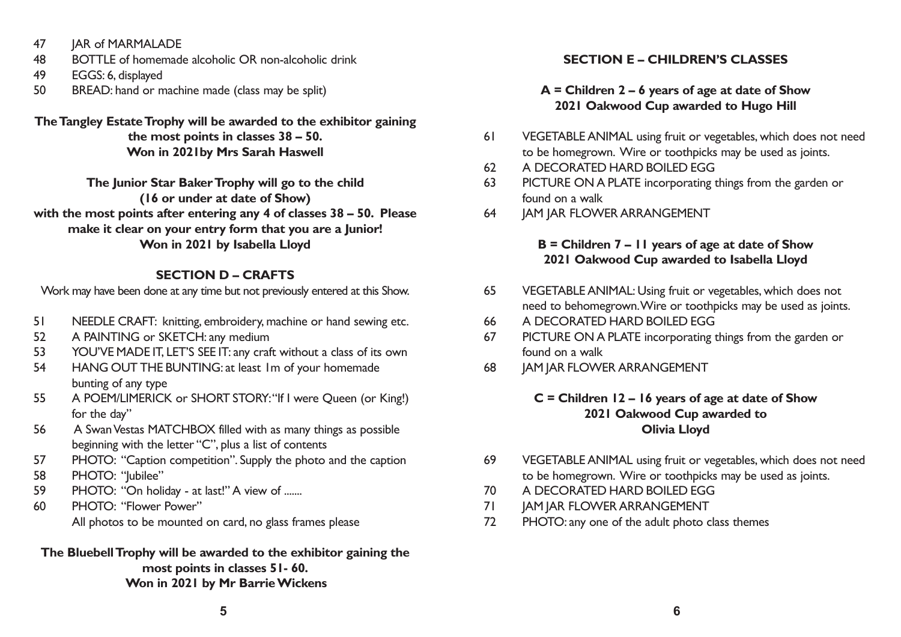- 47 **JAR of MARMALADE**
- 48 BOTTLE of homemade alcoholic OR non-alcoholic drink
- 49 EGGS: 6, displayed
- 50 BREAD: hand or machine made (class may be split)

#### **The Tangley Estate Trophy will be awarded to the exhibitor gaining the most points in classes 38 – 50. Won in 2021by Mrs Sarah Haswell**

**The Junior Star Baker Trophy will go to the child (16 or under at date of Show) with the most points after entering any 4 of classes 38 – 50. Please make it clear on your entry form that you are a Junior! Won in 2021 by Isabella Lloyd**

# **SECTION D – CRAFTS**

Work may have been done at any time but not previously entered at this Show.

- 51 NEEDLE CRAFT: knitting, embroidery, machine or hand sewing etc.
- 52 A PAINTING or SKETCH: any medium
- 53 YOU'VE MADE IT, LET'S SEE IT: any craft without a class of its own
- 54 HANG OUT THE BUNTING: at least 1m of your homemade bunting of any type
- 55 A POEM/LIMERICK or SHORT STORY:"If I were Queen (or King!) for the day"
- 56 A Swan Vestas MATCHBOX filled with as many things as possible beginning with the letter "C", plus a list of contents
- 57 PHOTO: "Caption competition". Supply the photo and the caption
- 58 PHOTO: "Jubilee"
- 59 PHOTO: "On holiday at last!" A view of .......
- 60 PHOTO: "Flower Power" All photos to be mounted on card, no glass frames please

## **The Bluebell Trophy will be awarded to the exhibitor gaining the most points in classes 51- 60. Won in 2021 by Mr Barrie Wickens**

# **SECTION E – CHILDREN'S CLASSES**

# **A = Children 2 – 6 years of age at date of Show 2021 Oakwood Cup awarded to Hugo Hill**

- 61 VEGETABLE ANIMAL using fruit or vegetables, which does not need to be homegrown. Wire or toothpicks may be used as joints.
- 62 A DECORATED HARD BOILED EGG
- 63 PICTURE ON A PLATE incorporating things from the garden or found on a walk
- 64 JAM JAR FLOWER ARRANGEMENT

# **B = Children 7 – 11 years of age at date of Show 2021 Oakwood Cup awarded to Isabella Lloyd**

- 65 VEGETABLE ANIMAL: Using fruit or vegetables, which does not need to behomegrown.Wire or toothpicks may be used as joints.
- 66 A DECORATED HARD BOILED EGG
- 67 PICTURE ON A PLATE incorporating things from the garden or found on a walk
- 68 JAM JAR FLOWER ARRANGEMENT

## **C = Children 12 – 16 years of age at date of Show 2021 Oakwood Cup awarded to Olivia Lloyd**

- 69 VEGETABLE ANIMAL using fruit or vegetables, which does not need to be homegrown. Wire or toothpicks may be used as joints.
- 70 A DECORATED HARD BOILED EGG
- 71 JAM JAR FLOWER ARRANGEMENT
- 72 PHOTO: any one of the adult photo class themes